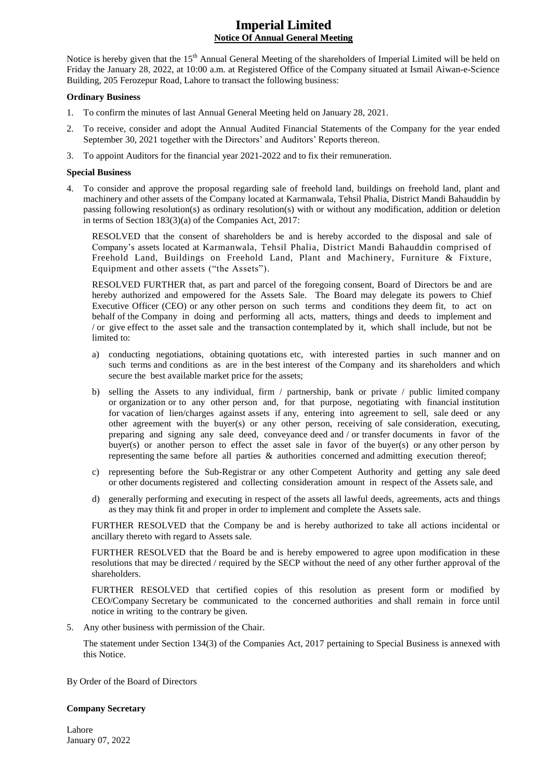# **Imperial Limited Notice Of Annual General Meeting**

Notice is hereby given that the 15<sup>th</sup> Annual General Meeting of the shareholders of Imperial Limited will be held on Friday the January 28, 2022, at 10:00 a.m. at Registered Office of the Company situated at Ismail Aiwan-e-Science Building, 205 Ferozepur Road, Lahore to transact the following business:

# **Ordinary Business**

- 1. To confirm the minutes of last Annual General Meeting held on January 28, 2021.
- 2. To receive, consider and adopt the Annual Audited Financial Statements of the Company for the year ended September 30, 2021 together with the Directors' and Auditors' Reports thereon.
- 3. To appoint Auditors for the financial year 2021-2022 and to fix their remuneration.

# **Special Business**

4. To consider and approve the proposal regarding sale of freehold land, buildings on freehold land, plant and machinery and other assets of the Company located at Karmanwala, Tehsil Phalia, District Mandi Bahauddin by passing following resolution(s) as ordinary resolution(s) with or without any modification, addition or deletion in terms of Section 183(3)(a) of the Companies Act, 2017:

RESOLVED that the consent of shareholders be and is hereby accorded to the disposal and sale of Company"s assets located at Karmanwala, Tehsil Phalia, District Mandi Bahauddin comprised of Freehold Land, Buildings on Freehold Land, Plant and Machinery, Furniture & Fixture, Equipment and other assets ("the Assets").

RESOLVED FURTHER that, as part and parcel of the foregoing consent, Board of Directors be and are hereby authorized and empowered for the Assets Sale. The Board may delegate its powers to Chief Executive Officer (CEO) or any other person on such terms and conditions they deem fit, to act on behalf of the Company in doing and performing all acts, matters, things and deeds to implement and / or give effect to the asset sale and the transaction contemplated by it, which shall include, but not be limited to:

- a) conducting negotiations, obtaining quotations etc, with interested parties in such manner and on such terms and conditions as are in the best interest of the Company and its shareholders and which secure the best available market price for the assets;
- b) selling the Assets to any individual, firm / partnership, bank or private / public limited company or organization or to any other person and, for that purpose, negotiating with financial institution for vacation of lien/charges against assets if any, entering into agreement to sell, sale deed or any other agreement with the buyer(s) or any other person, receiving of sale consideration, executing, preparing and signing any sale deed, conveyance deed and / or transfer documents in favor of the buyer(s) or another person to effect the asset sale in favor of the buyer(s) or any other person by representing the same before all parties & authorities concerned and admitting execution thereof;
- c) representing before the Sub-Registrar or any other Competent Authority and getting any sale deed or other documents registered and collecting consideration amount in respect of the Assets sale, and
- d) generally performing and executing in respect of the assets all lawful deeds, agreements, acts and things as they may think fit and proper in order to implement and complete the Assets sale.

FURTHER RESOLVED that the Company be and is hereby authorized to take all actions incidental or ancillary thereto with regard to Assets sale.

FURTHER RESOLVED that the Board be and is hereby empowered to agree upon modification in these resolutions that may be directed / required by the SECP without the need of any other further approval of the shareholders.

FURTHER RESOLVED that certified copies of this resolution as present form or modified by CEO/Company Secretary be communicated to the concerned authorities and shall remain in force until notice in writing to the contrary be given.

5. Any other business with permission of the Chair.

The statement under Section 134(3) of the Companies Act, 2017 pertaining to Special Business is annexed with this Notice.

By Order of the Board of Directors

#### **Company Secretary**

Lahore January 07, 2022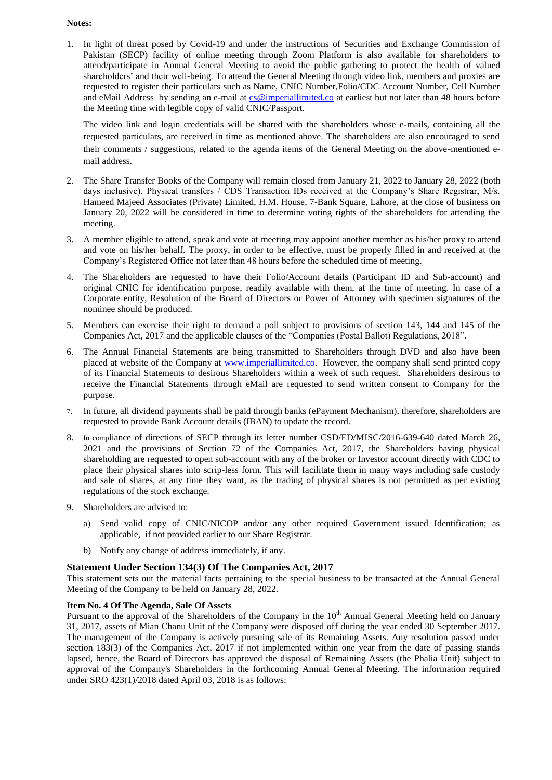# **Notes:**

1. In light of threat posed by Covid-19 and under the instructions of Securities and Exchange Commission of Pakistan (SECP) facility of online meeting through Zoom Platform is also available for shareholders to attend/participate in Annual General Meeting to avoid the public gathering to protect the health of valued shareholders' and their well-being. To attend the General Meeting through video link, members and proxies are requested to register their particulars such as Name, CNIC Number,Folio/CDC Account Number, Cell Number and eMail Address by sending an e-mail at [cs@imperiallimited.co](mailto:cs@imperiallimited.co) at earliest but not later than 48 hours before the Meeting time with legible copy of valid CNIC/Passport.

The video link and login credentials will be shared with the shareholders whose e-mails, containing all the requested particulars, are received in time as mentioned above. The shareholders are also encouraged to send their comments / suggestions, related to the agenda items of the General Meeting on the above-mentioned email address.

- 2. The Share Transfer Books of the Company will remain closed from January 21, 2022 to January 28, 2022 (both days inclusive). Physical transfers / CDS Transaction IDs received at the Company"s Share Registrar, M/s. Hameed Majeed Associates (Private) Limited, H.M. House, 7-Bank Square, Lahore, at the close of business on January 20, 2022 will be considered in time to determine voting rights of the shareholders for attending the meeting.
- 3. A member eligible to attend, speak and vote at meeting may appoint another member as his/her proxy to attend and vote on his/her behalf. The proxy, in order to be effective, must be properly filled in and received at the Company"s Registered Office not later than 48 hours before the scheduled time of meeting.
- 4. The Shareholders are requested to have their Folio/Account details (Participant ID and Sub-account) and original CNIC for identification purpose, readily available with them, at the time of meeting. In case of a Corporate entity, Resolution of the Board of Directors or Power of Attorney with specimen signatures of the nominee should be produced.
- 5. Members can exercise their right to demand a poll subject to provisions of section 143, 144 and 145 of the Companies Act, 2017 and the applicable clauses of the "Companies (Postal Ballot) Regulations, 2018".
- 6. The Annual Financial Statements are being transmitted to Shareholders through DVD and also have been placed at website of the Company at [www.imperiallimited.co.](http://www.imperiallimited.co/) However, the company shall send printed copy of its Financial Statements to desirous Shareholders within a week of such request. Shareholders desirous to receive the Financial Statements through eMail are requested to send written consent to Company for the purpose.
- 7. In future, all dividend payments shall be paid through banks (ePayment Mechanism), therefore, shareholders are requested to provide Bank Account details (IBAN) to update the record.
- 8. In compliance of directions of SECP through its letter number CSD/ED/MISC/2016-639-640 dated March 26, 2021 and the provisions of Section 72 of the Companies Act, 2017, the Shareholders having physical shareholding are requested to open sub-account with any of the broker or Investor account directly with CDC to place their physical shares into scrip-less form. This will facilitate them in many ways including safe custody and sale of shares, at any time they want, as the trading of physical shares is not permitted as per existing regulations of the stock exchange.
- 9. Shareholders are advised to:
	- a) Send valid copy of CNIC/NICOP and/or any other required Government issued Identification; as applicable, if not provided earlier to our Share Registrar.
	- b) Notify any change of address immediately, if any.

# **Statement Under Section 134(3) Of The Companies Act, 2017**

This statement sets out the material facts pertaining to the special business to be transacted at the Annual General Meeting of the Company to be held on January 28, 2022.

# **Item No. 4 Of The Agenda, Sale Of Assets**

Pursuant to the approval of the Shareholders of the Company in the 10<sup>th</sup> Annual General Meeting held on January 31, 2017, assets of Mian Chanu Unit of the Company were disposed off during the year ended 30 September 2017. The management of the Company is actively pursuing sale of its Remaining Assets. Any resolution passed under section 183(3) of the Companies Act, 2017 if not implemented within one year from the date of passing stands lapsed, hence, the Board of Directors has approved the disposal of Remaining Assets (the Phalia Unit) subject to approval of the Company's Shareholders in the forthcoming Annual General Meeting. The information required under SRO 423(1)/2018 dated April 03, 2018 is as follows: